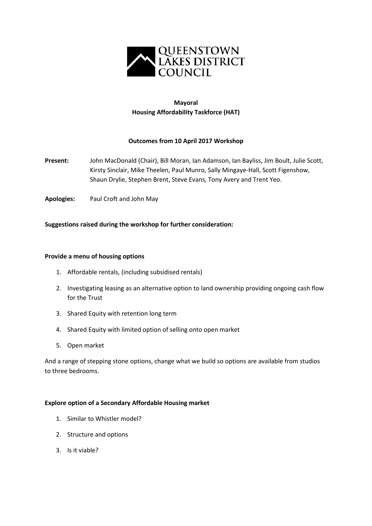

## **Mayoral Housing Affordability Taskforce (HAT)**

### **Outcomes from 10 April 2017 Workshop**

- **Present:** John MacDonald (Chair), Bill Moran, Ian Adamson, Ian Bayliss, Jim Boult, Julie Scott, Kirsty Sinclair, Mike Theelen, Paul Munro, Sally Mingaye-Hall, Scott Figenshow, Shaun Drylie, Stephen Brent, Steve Evans, Tony Avery and Trent Yeo.
- **Apologies:** Paul Croft and John May

#### **Suggestions raised during the workshop for further consideration:**

#### **Provide a menu of housing options**

- 1. Affordable rentals, (including subsidised rentals)
- 2. Investigating leasing as an alternative option to land ownership providing ongoing cash flow for the Trust
- 3. Shared Equity with retention long term
- 4. Shared Equity with limited option of selling onto open market
- 5. Open market

And a range of stepping stone options, change what we build so options are available from studios to three bedrooms.

#### **Explore option of a Secondary Affordable Housing market**

- 1. Similar to Whistler model?
- 2. Structure and options
- 3. Is it viable?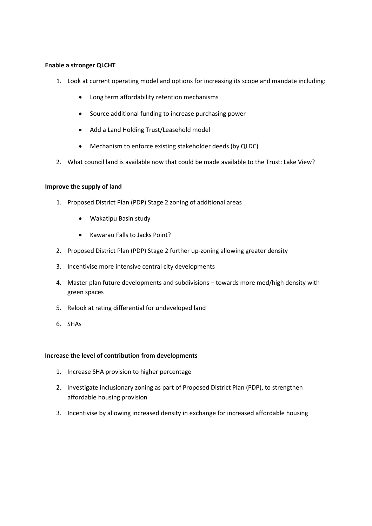#### **Enable a stronger QLCHT**

- 1. Look at current operating model and options for increasing its scope and mandate including:
	- Long term affordability retention mechanisms
	- Source additional funding to increase purchasing power
	- Add a Land Holding Trust/Leasehold model
	- Mechanism to enforce existing stakeholder deeds (by QLDC)
- 2. What council land is available now that could be made available to the Trust: Lake View?

#### **Improve the supply of land**

- 1. Proposed District Plan (PDP) Stage 2 zoning of additional areas
	- Wakatipu Basin study
	- Kawarau Falls to Jacks Point?
- 2. Proposed District Plan (PDP) Stage 2 further up-zoning allowing greater density
- 3. Incentivise more intensive central city developments
- 4. Master plan future developments and subdivisions towards more med/high density with green spaces
- 5. Relook at rating differential for undeveloped land
- 6. SHAs

#### **Increase the level of contribution from developments**

- 1. Increase SHA provision to higher percentage
- 2. Investigate inclusionary zoning as part of Proposed District Plan (PDP), to strengthen affordable housing provision
- 3. Incentivise by allowing increased density in exchange for increased affordable housing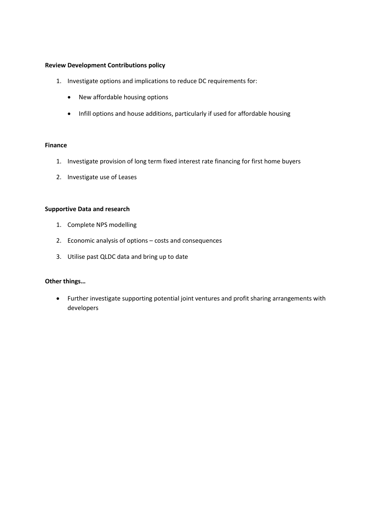#### **Review Development Contributions policy**

- 1. Investigate options and implications to reduce DC requirements for:
	- New affordable housing options
	- Infill options and house additions, particularly if used for affordable housing

#### **Finance**

- 1. Investigate provision of long term fixed interest rate financing for first home buyers
- 2. Investigate use of Leases

#### **Supportive Data and research**

- 1. Complete NPS modelling
- 2. Economic analysis of options costs and consequences
- 3. Utilise past QLDC data and bring up to date

#### **Other things…**

• Further investigate supporting potential joint ventures and profit sharing arrangements with developers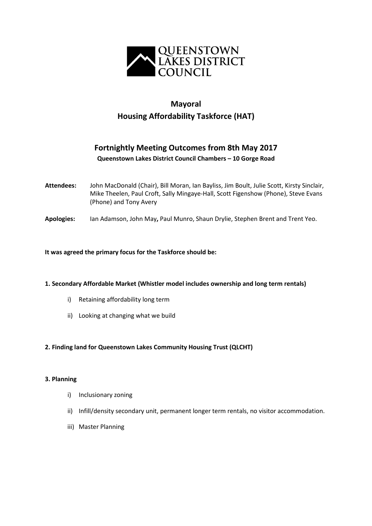

# **Mayoral Housing Affordability Taskforce (HAT)**

# **Fortnightly Meeting Outcomes from 8th May 2017 Queenstown Lakes District Council Chambers – 10 Gorge Road**

- **Attendees:** John MacDonald (Chair), Bill Moran, Ian Bayliss, Jim Boult, Julie Scott, Kirsty Sinclair, Mike Theelen, Paul Croft, Sally Mingaye-Hall, Scott Figenshow (Phone), Steve Evans (Phone) and Tony Avery
- **Apologies:** Ian Adamson, John May**,** Paul Munro, Shaun Drylie, Stephen Brent and Trent Yeo.

#### **It was agreed the primary focus for the Taskforce should be:**

#### **1. Secondary Affordable Market (Whistler model includes ownership and long term rentals)**

- i) Retaining affordability long term
- ii) Looking at changing what we build

#### **2. Finding land for Queenstown Lakes Community Housing Trust (QLCHT)**

#### **3. Planning**

- i) Inclusionary zoning
- ii) Infill/density secondary unit, permanent longer term rentals, no visitor accommodation.
- iii) Master Planning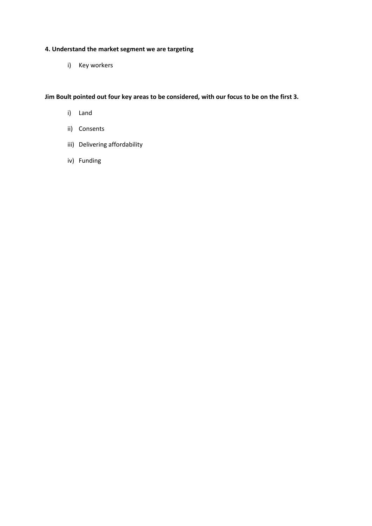## **4. Understand the market segment we are targeting**

i) Key workers

**Jim Boult pointed out four key areas to be considered, with our focus to be on the first 3.**

- i) Land
- ii) Consents
- iii) Delivering affordability
- iv) Funding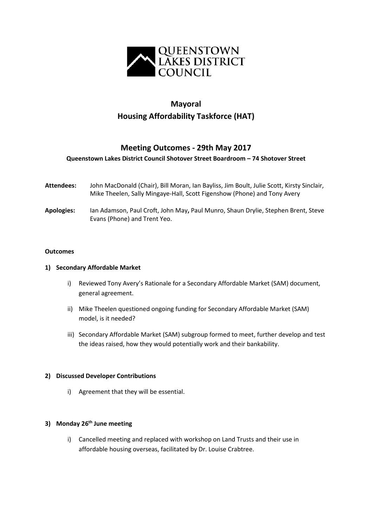

# **Mayoral Housing Affordability Taskforce (HAT)**

## **Meeting Outcomes - 29th May 2017**

#### **Queenstown Lakes District Council Shotover Street Boardroom – 74 Shotover Street**

- **Attendees:** John MacDonald (Chair), Bill Moran, Ian Bayliss, Jim Boult, Julie Scott, Kirsty Sinclair, Mike Theelen, Sally Mingaye-Hall, Scott Figenshow (Phone) and Tony Avery
- **Apologies:** Ian Adamson, Paul Croft, John May**,** Paul Munro, Shaun Drylie, Stephen Brent, Steve Evans (Phone) and Trent Yeo.

#### **Outcomes**

#### **1) Secondary Affordable Market**

- i) Reviewed Tony Avery's Rationale for a Secondary Affordable Market (SAM) document, general agreement.
- ii) Mike Theelen questioned ongoing funding for Secondary Affordable Market (SAM) model, is it needed?
- iii) Secondary Affordable Market (SAM) subgroup formed to meet, further develop and test the ideas raised, how they would potentially work and their bankability.

#### **2) Discussed Developer Contributions**

i) Agreement that they will be essential.

#### **3) Monday 26th June meeting**

i) Cancelled meeting and replaced with workshop on Land Trusts and their use in affordable housing overseas, facilitated by Dr. Louise Crabtree.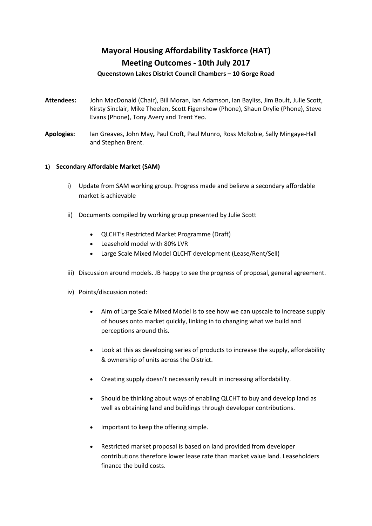# **Mayoral Housing Affordability Taskforce (HAT) Meeting Outcomes - 10th July 2017**

#### **Queenstown Lakes District Council Chambers – 10 Gorge Road**

- **Attendees:** John MacDonald (Chair), Bill Moran, Ian Adamson, Ian Bayliss, Jim Boult, Julie Scott, Kirsty Sinclair, Mike Theelen, Scott Figenshow (Phone), Shaun Drylie (Phone), Steve Evans (Phone), Tony Avery and Trent Yeo.
- **Apologies:** Ian Greaves, John May**,** Paul Croft, Paul Munro, Ross McRobie, Sally Mingaye-Hall and Stephen Brent.

#### **1) Secondary Affordable Market (SAM)**

- i) Update from SAM working group. Progress made and believe a secondary affordable market is achievable
- ii) Documents compiled by working group presented by Julie Scott
	- QLCHT's Restricted Market Programme (Draft)
	- Leasehold model with 80% LVR
	- Large Scale Mixed Model QLCHT development (Lease/Rent/Sell)
- iii) Discussion around models. JB happy to see the progress of proposal, general agreement.
- iv) Points/discussion noted:
	- Aim of Large Scale Mixed Model is to see how we can upscale to increase supply of houses onto market quickly, linking in to changing what we build and perceptions around this.
	- Look at this as developing series of products to increase the supply, affordability & ownership of units across the District.
	- Creating supply doesn't necessarily result in increasing affordability.
	- Should be thinking about ways of enabling QLCHT to buy and develop land as well as obtaining land and buildings through developer contributions.
	- Important to keep the offering simple.
	- Restricted market proposal is based on land provided from developer contributions therefore lower lease rate than market value land. Leaseholders finance the build costs.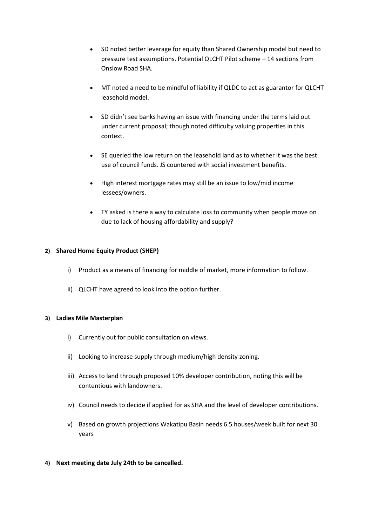- SD noted better leverage for equity than Shared Ownership model but need to pressure test assumptions. Potential QLCHT Pilot scheme – 14 sections from Onslow Road SHA.
- MT noted a need to be mindful of liability if QLDC to act as guarantor for QLCHT leasehold model.
- SD didn't see banks having an issue with financing under the terms laid out under current proposal; though noted difficulty valuing properties in this context.
- SE queried the low return on the leasehold land as to whether it was the best use of council funds. JS countered with social investment benefits.
- High interest mortgage rates may still be an issue to low/mid income lessees/owners.
- TY asked is there a way to calculate loss to community when people move on due to lack of housing affordability and supply?

#### **2) Shared Home Equity Product (SHEP)**

- i) Product as a means of financing for middle of market, more information to follow.
- ii) QLCHT have agreed to look into the option further.

#### **3) Ladies Mile Masterplan**

- i) Currently out for public consultation on views.
- ii) Looking to increase supply through medium/high density zoning.
- iii) Access to land through proposed 10% developer contribution, noting this will be contentious with landowners.
- iv) Council needs to decide if applied for as SHA and the level of developer contributions.
- v) Based on growth projections Wakatipu Basin needs 6.5 houses/week built for next 30 years
- **4) Next meeting date July 24th to be cancelled.**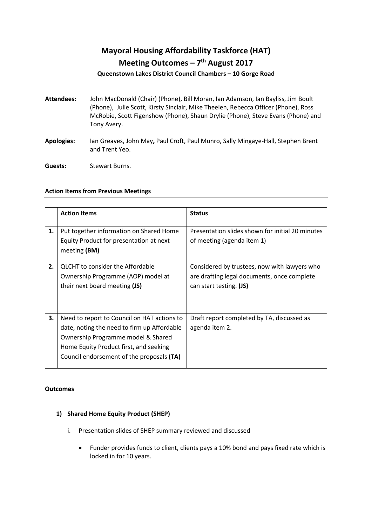# **Mayoral Housing Affordability Taskforce (HAT) Meeting Outcomes – 7th August 2017**

#### **Queenstown Lakes District Council Chambers – 10 Gorge Road**

- **Attendees:** John MacDonald (Chair) (Phone), Bill Moran, Ian Adamson, Ian Bayliss, Jim Boult (Phone), Julie Scott, Kirsty Sinclair, Mike Theelen, Rebecca Officer (Phone), Ross McRobie, Scott Figenshow (Phone), Shaun Drylie (Phone), Steve Evans (Phone) and Tony Avery.
- **Apologies:** Ian Greaves, John May**,** Paul Croft, Paul Munro, Sally Mingaye-Hall, Stephen Brent and Trent Yeo.
- **Guests:** Stewart Burns.

#### **Action Items from Previous Meetings**

|    | <b>Action Items</b>                                                                                                                                                                                                     | <b>Status</b>                                                                                                          |
|----|-------------------------------------------------------------------------------------------------------------------------------------------------------------------------------------------------------------------------|------------------------------------------------------------------------------------------------------------------------|
| 1. | Put together information on Shared Home<br>Equity Product for presentation at next<br>meeting (BM)                                                                                                                      | Presentation slides shown for initial 20 minutes<br>of meeting (agenda item 1)                                         |
| 2. | <b>QLCHT</b> to consider the Affordable<br>Ownership Programme (AOP) model at<br>their next board meeting (JS)                                                                                                          | Considered by trustees, now with lawyers who<br>are drafting legal documents, once complete<br>can start testing. (JS) |
| 3. | Need to report to Council on HAT actions to<br>date, noting the need to firm up Affordable<br>Ownership Programme model & Shared<br>Home Equity Product first, and seeking<br>Council endorsement of the proposals (TA) | Draft report completed by TA, discussed as<br>agenda item 2.                                                           |

#### **Outcomes**

### **1) Shared Home Equity Product (SHEP)**

- i. Presentation slides of SHEP summary reviewed and discussed
	- Funder provides funds to client, clients pays a 10% bond and pays fixed rate which is locked in for 10 years.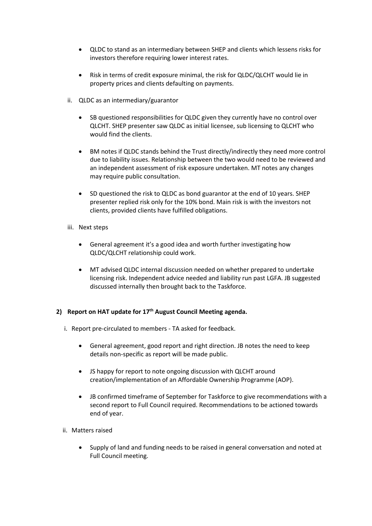- QLDC to stand as an intermediary between SHEP and clients which lessens risks for investors therefore requiring lower interest rates.
- Risk in terms of credit exposure minimal, the risk for QLDC/QLCHT would lie in property prices and clients defaulting on payments.
- ii. QLDC as an intermediary/guarantor
	- SB questioned responsibilities for QLDC given they currently have no control over QLCHT. SHEP presenter saw QLDC as initial licensee, sub licensing to QLCHT who would find the clients.
	- BM notes if QLDC stands behind the Trust directly/indirectly they need more control due to liability issues. Relationship between the two would need to be reviewed and an independent assessment of risk exposure undertaken. MT notes any changes may require public consultation.
	- SD questioned the risk to QLDC as bond guarantor at the end of 10 years. SHEP presenter replied risk only for the 10% bond. Main risk is with the investors not clients, provided clients have fulfilled obligations.
- iii. Next steps
	- General agreement it's a good idea and worth further investigating how QLDC/QLCHT relationship could work.
	- MT advised QLDC internal discussion needed on whether prepared to undertake licensing risk. Independent advice needed and liability run past LGFA. JB suggested discussed internally then brought back to the Taskforce.

### **2) Report on HAT update for 17th August Council Meeting agenda.**

- i. Report pre-circulated to members TA asked for feedback.
	- General agreement, good report and right direction. JB notes the need to keep details non-specific as report will be made public.
	- JS happy for report to note ongoing discussion with QLCHT around creation/implementation of an Affordable Ownership Programme (AOP).
	- JB confirmed timeframe of September for Taskforce to give recommendations with a second report to Full Council required. Recommendations to be actioned towards end of year.
- ii. Matters raised
	- Supply of land and funding needs to be raised in general conversation and noted at Full Council meeting.